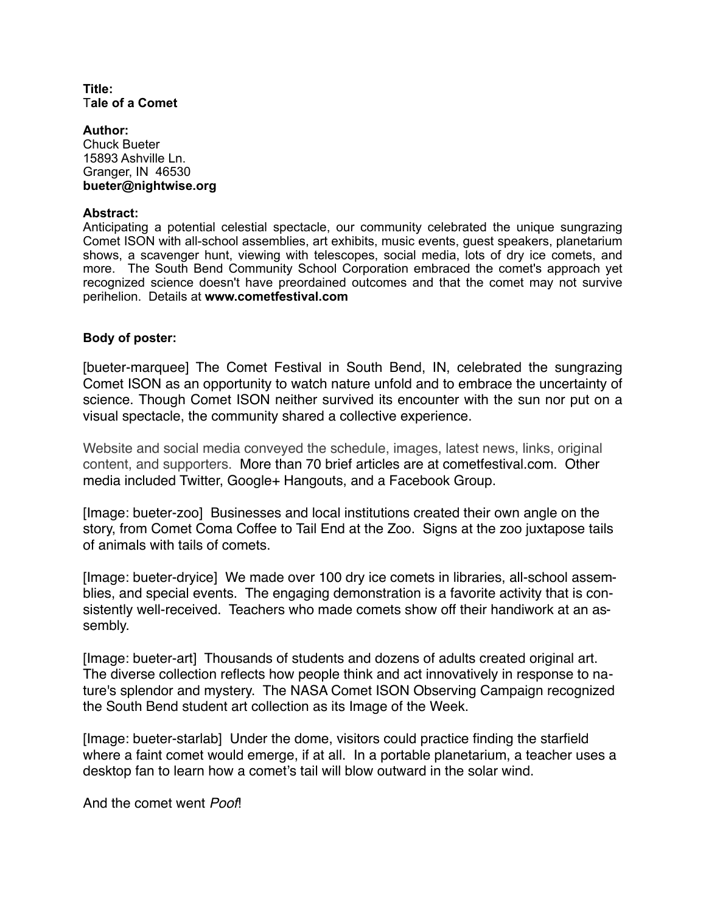#### **Title:**  T**ale of a Comet**

#### **Author:**  Chuck Bueter 15893 Ashville Ln. Granger, IN 46530 **bueter@nightwise.org**

## **Abstract:**

Anticipating a potential celestial spectacle, our community celebrated the unique sungrazing Comet ISON with all-school assemblies, art exhibits, music events, guest speakers, planetarium shows, a scavenger hunt, viewing with telescopes, social media, lots of dry ice comets, and more. The South Bend Community School Corporation embraced the comet's approach yet recognized science doesn't have preordained outcomes and that the comet may not survive perihelion. Details at **www.cometfestival.com**

## **Body of poster:**

[bueter-marquee] The Comet Festival in South Bend, IN, celebrated the sungrazing Comet ISON as an opportunity to watch nature unfold and to embrace the uncertainty of science. Though Comet ISON neither survived its encounter with the sun nor put on a visual spectacle, the community shared a collective experience.

Website and social media conveyed the schedule, images, latest news, links, original content, and supporters. More than 70 brief articles are at cometfestival.com. Other media included Twitter, Google+ Hangouts, and a Facebook Group.

[Image: bueter-zoo] Businesses and local institutions created their own angle on the story, from Comet Coma Coffee to Tail End at the Zoo. Signs at the zoo juxtapose tails of animals with tails of comets.

[Image: bueter-dryice] We made over 100 dry ice comets in libraries, all-school assemblies, and special events. The engaging demonstration is a favorite activity that is consistently well-received. Teachers who made comets show off their handiwork at an assembly.

[Image: bueter-art] Thousands of students and dozens of adults created original art. The diverse collection reflects how people think and act innovatively in response to nature's splendor and mystery. The NASA Comet ISON Observing Campaign recognized the South Bend student art collection as its Image of the Week.

[Image: bueter-starlab] Under the dome, visitors could practice finding the starfield where a faint comet would emerge, if at all. In a portable planetarium, a teacher uses a desktop fan to learn how a comet's tail will blow outward in the solar wind.

And the comet went *Poof*!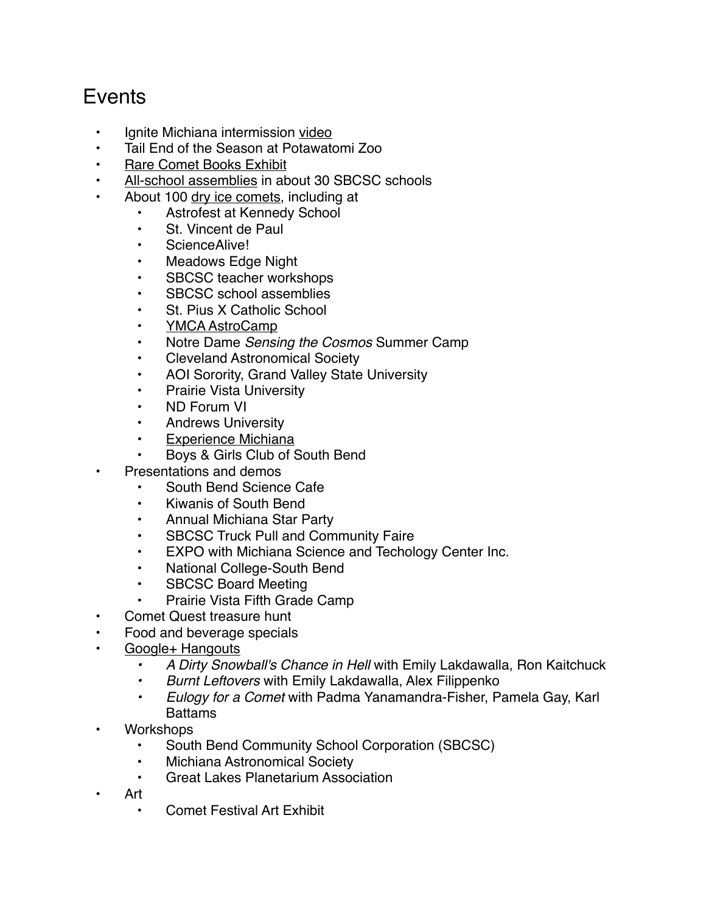# **F**vents

- Ignite Michiana intermission [video](http://youtu.be/fi8gV9MP0ic)
- Tail End of the Season at Potawatomi Zoo
- [Rare Comet Books Exhibit](http://www.cometfestival.com/index.php/events/usno/)
- [All-school assemblies](http://cometfestival.com/index.php/events/comets-schools/) in about 30 SBCSC schools
- About 100 [dry ice comets](http://www.cometfestival.com/index.php/events/make-dry-ice-comet/), including at
	- Astrofest at Kennedy School
	- St. Vincent de Paul
	- ScienceAlive!
	- Meadows Edge Night
	- SBCSC teacher workshops
	- SBCSC school assemblies
	- St. Pius X Catholic School
	- [YMCA AstroCamp](http://www.astrocamp.us/)
	- Notre Dame *Sensing the Cosmos* Summer Camp
	- Cleveland Astronomical Society
	- AOI Sorority, Grand Valley State University
	- Prairie Vista University
	- ND Forum VI
	- Andrews University
	- [Experience Michiana](http://www.cometfestival.com/index.php/events/experience-michiana/)
	- Boys & Girls Club of South Bend
- Presentations and demos
	- South Bend Science Cafe
	- Kiwanis of South Bend
	- Annual Michiana Star Party
	- SBCSC Truck Pull and Community Faire
	- EXPO with Michiana Science and Techology Center Inc.
	- National College-South Bend
	- SBCSC Board Meeting
	- Prairie Vista Fifth Grade Camp
- Comet Quest treasure hunt
- Food and beverage specials
- [Google+ Hangouts](https://www.youtube.com/channel/UCLsIHwUOcozRZN1t-y6Al-w?feature=c4-feed-lsb)
	- *A Dirty Snowball's Chance in Hell* with Emily Lakdawalla, Ron Kaitchuck
	- *Burnt Leftovers* with Emily Lakdawalla, Alex Filippenko
	- *Eulogy for a Comet* with Padma Yanamandra-Fisher, Pamela Gay, Karl **Battams**
- Workshops
	- South Bend Community School Corporation (SBCSC)
	- Michiana Astronomical Society
	- Great Lakes Planetarium Association
- Art
	- Comet Festival Art Exhibit